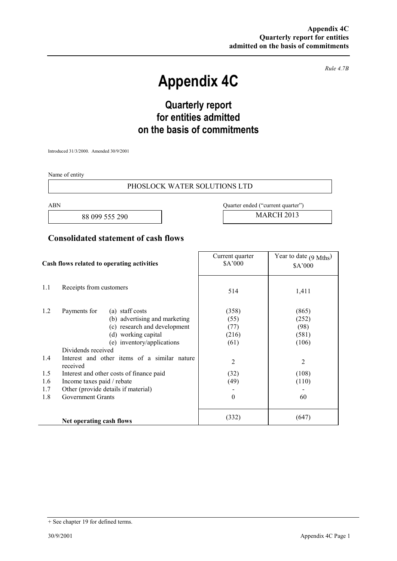*Rule 4.7B* 

# **Appendix 4C**

## **Quarterly report for entities admitted on the basis of commitments**

Introduced 31/3/2000. Amended 30/9/2001

Name of entity

#### PHOSLOCK WATER SOLUTIONS LTD

88 099 555 290 MARCH 2013

ABN Quarter ended ("current quarter")

### **Consolidated statement of cash flows**

| Cash flows related to operating activities |                                                                                                                                                                                                                                                                                                                                                                                      | Current quarter<br>\$A'000                                              | Year to date $(9 \text{ Mths})$<br>\$A'000                            |
|--------------------------------------------|--------------------------------------------------------------------------------------------------------------------------------------------------------------------------------------------------------------------------------------------------------------------------------------------------------------------------------------------------------------------------------------|-------------------------------------------------------------------------|-----------------------------------------------------------------------|
| 1.1                                        | Receipts from customers                                                                                                                                                                                                                                                                                                                                                              | 514                                                                     | 1,411                                                                 |
| 1.2<br>1.4<br>1.5<br>1.6<br>1.7<br>1.8     | Payments for<br>(a) staff costs<br>(b) advertising and marketing<br>(c) research and development<br>(d) working capital<br>(e) inventory/applications<br>Dividends received<br>Interest and other items of a similar nature<br>received<br>Interest and other costs of finance paid<br>Income taxes paid / rebate<br>Other (provide details if material)<br><b>Government Grants</b> | (358)<br>(55)<br>(77)<br>(216)<br>(61)<br>2<br>(32)<br>(49)<br>$\theta$ | (865)<br>(252)<br>(98)<br>(581)<br>(106)<br>2<br>(108)<br>(110)<br>60 |
|                                            | Net operating cash flows                                                                                                                                                                                                                                                                                                                                                             | (332)                                                                   | (647)                                                                 |

<sup>+</sup> See chapter 19 for defined terms.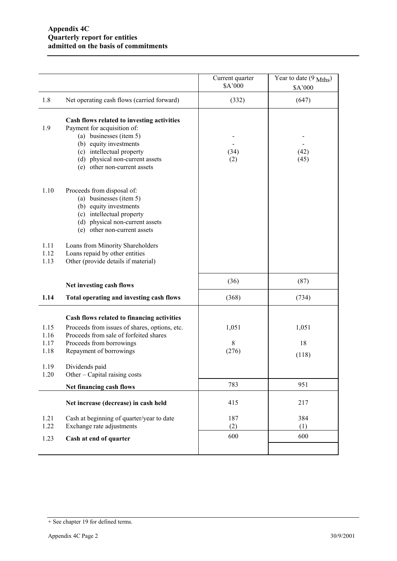|                              |                                                                                                                                                                                                                                | Current quarter<br>\$A'000 | Year to date (9 Mths)<br>\$A'000 |
|------------------------------|--------------------------------------------------------------------------------------------------------------------------------------------------------------------------------------------------------------------------------|----------------------------|----------------------------------|
| 1.8                          | Net operating cash flows (carried forward)                                                                                                                                                                                     | (332)                      | (647)                            |
| 1.9                          | Cash flows related to investing activities<br>Payment for acquisition of:<br>(a) businesses (item 5)<br>(b) equity investments<br>(c) intellectual property<br>(d) physical non-current assets<br>(e) other non-current assets | (34)<br>(2)                | (42)<br>(45)                     |
| 1.10                         | Proceeds from disposal of:<br>(a) businesses (item 5)<br>(b) equity investments<br>(c) intellectual property<br>(d) physical non-current assets<br>(e) other non-current assets                                                |                            |                                  |
| 1.11<br>1.12<br>1.13         | Loans from Minority Shareholders<br>Loans repaid by other entities<br>Other (provide details if material)                                                                                                                      |                            |                                  |
|                              | Net investing cash flows                                                                                                                                                                                                       | (36)                       | (87)                             |
| 1.14                         | Total operating and investing cash flows                                                                                                                                                                                       | (368)                      | (734)                            |
| 1.15<br>1.16<br>1.17<br>1.18 | Cash flows related to financing activities<br>Proceeds from issues of shares, options, etc.<br>Proceeds from sale of forfeited shares<br>Proceeds from borrowings<br>Repayment of borrowings                                   | 1,051<br>8<br>(276)        | 1,051<br>18<br>(118)             |
| 1.19<br>1.20                 | Dividends paid<br>Other – Capital raising costs                                                                                                                                                                                |                            |                                  |
|                              | Net financing cash flows                                                                                                                                                                                                       | 783                        | 951                              |
|                              | Net increase (decrease) in cash held                                                                                                                                                                                           | 415                        | 217                              |
| 1.21<br>1.22                 | Cash at beginning of quarter/year to date<br>Exchange rate adjustments                                                                                                                                                         | 187<br>(2)                 | 384<br>(1)                       |
| 1.23                         | Cash at end of quarter                                                                                                                                                                                                         | 600                        | 600                              |
|                              |                                                                                                                                                                                                                                |                            |                                  |

<sup>+</sup> See chapter 19 for defined terms.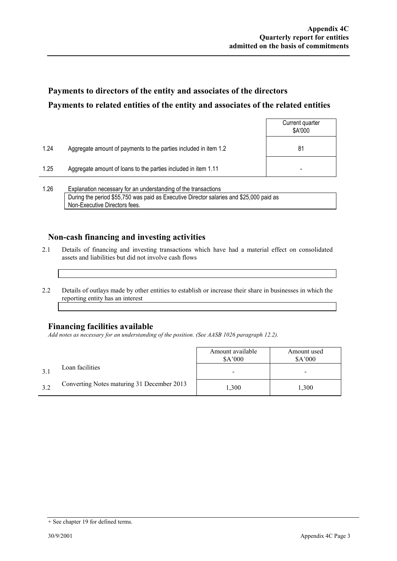### **Payments to directors of the entity and associates of the directors Payments to related entities of the entity and associates of the related entities**

|      |                                                                  | Current quarter<br>\$A'000 |
|------|------------------------------------------------------------------|----------------------------|
| 1.24 | Aggregate amount of payments to the parties included in item 1.2 | 81                         |
| 1.25 | Aggregate amount of loans to the parties included in item 1.11   | -                          |
|      |                                                                  |                            |

1.26 Explanation necessary for an understanding of the transactions During the period \$55,750 was paid as Executive Director salaries and \$25,000 paid as Non-Executive Directors fees.

### **Non-cash financing and investing activities**

- 2.1 Details of financing and investing transactions which have had a material effect on consolidated assets and liabilities but did not involve cash flows
- 2.2 Details of outlays made by other entities to establish or increase their share in businesses in which the reporting entity has an interest

#### **Financing facilities available**

*Add notes as necessary for an understanding of the position. (See AASB 1026 paragraph 12.2).* 

|     |                                            | Amount available<br>\$A'000 | Amount used<br>\$A'000 |
|-----|--------------------------------------------|-----------------------------|------------------------|
|     | Loan facilities                            |                             |                        |
| 3.2 | Converting Notes maturing 31 December 2013 | 1,300                       | 1.300                  |

<sup>+</sup> See chapter 19 for defined terms.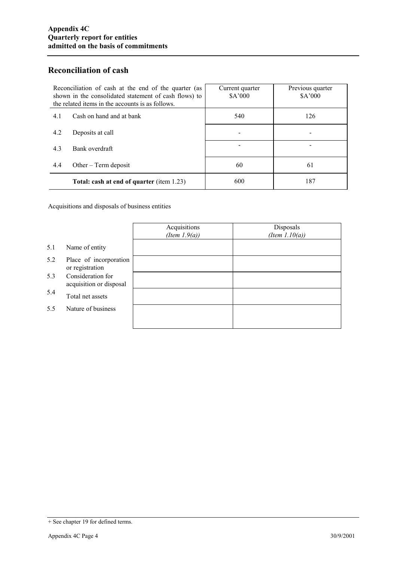### **Reconciliation of cash**

| Reconciliation of cash at the end of the quarter (as<br>shown in the consolidated statement of cash flows) to<br>the related items in the accounts is as follows. | Current quarter<br>\$A'000 | Previous quarter<br>\$A'000 |
|-------------------------------------------------------------------------------------------------------------------------------------------------------------------|----------------------------|-----------------------------|
| Cash on hand and at bank<br>4.1                                                                                                                                   | 540                        | 126                         |
| 4.2<br>Deposits at call                                                                                                                                           |                            |                             |
| 4.3<br>Bank overdraft                                                                                                                                             |                            |                             |
| 4.4<br>Other $-$ Term deposit                                                                                                                                     | 60                         | 61                          |
| Total: cash at end of quarter (item 1.23)                                                                                                                         | 600                        | 187                         |

Acquisitions and disposals of business entities

|     |                                              | Acquisitions<br>(Item $1.9(a)$ ) | Disposals<br>(Item $1.10(a)$ ) |
|-----|----------------------------------------------|----------------------------------|--------------------------------|
| 5.1 | Name of entity                               |                                  |                                |
| 5.2 | Place of incorporation<br>or registration    |                                  |                                |
| 5.3 | Consideration for<br>acquisition or disposal |                                  |                                |
| 5.4 | Total net assets                             |                                  |                                |
| 5.5 | Nature of business                           |                                  |                                |
|     |                                              |                                  |                                |

<sup>+</sup> See chapter 19 for defined terms.